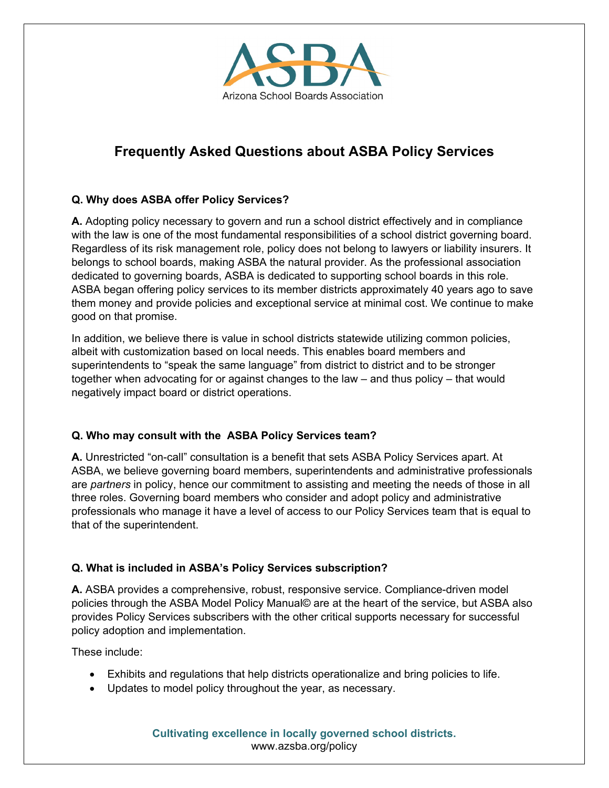

# **Frequently Asked Questions about ASBA Policy Services**

## **Q. Why does ASBA offer Policy Services?**

**A.** Adopting policy necessary to govern and run a school district effectively and in compliance with the law is one of the most fundamental responsibilities of a school district governing board. Regardless of its risk management role, policy does not belong to lawyers or liability insurers. It belongs to school boards, making ASBA the natural provider. As the professional association dedicated to governing boards, ASBA is dedicated to supporting school boards in this role. ASBA began offering policy services to its member districts approximately 40 years ago to save them money and provide policies and exceptional service at minimal cost. We continue to make good on that promise.

In addition, we believe there is value in school districts statewide utilizing common policies, albeit with customization based on local needs. This enables board members and superintendents to "speak the same language" from district to district and to be stronger together when advocating for or against changes to the law – and thus policy – that would negatively impact board or district operations.

## **Q. Who may consult with the ASBA Policy Services team?**

**A.** Unrestricted "on-call" consultation is a benefit that sets ASBA Policy Services apart. At ASBA, we believe governing board members, superintendents and administrative professionals are *partners* in policy, hence our commitment to assisting and meeting the needs of those in all three roles. Governing board members who consider and adopt policy and administrative professionals who manage it have a level of access to our Policy Services team that is equal to that of the superintendent.

## **Q. What is included in ASBA's Policy Services subscription?**

**A.** ASBA provides a comprehensive, robust, responsive service. Compliance-driven model policies through the ASBA Model Policy Manual© are at the heart of the service, but ASBA also provides Policy Services subscribers with the other critical supports necessary for successful policy adoption and implementation.

These include:

- Exhibits and regulations that help districts operationalize and bring policies to life.
- Updates to model policy throughout the year, as necessary.

**Cultivating excellence in locally governed school districts.** www.azsba.org/policy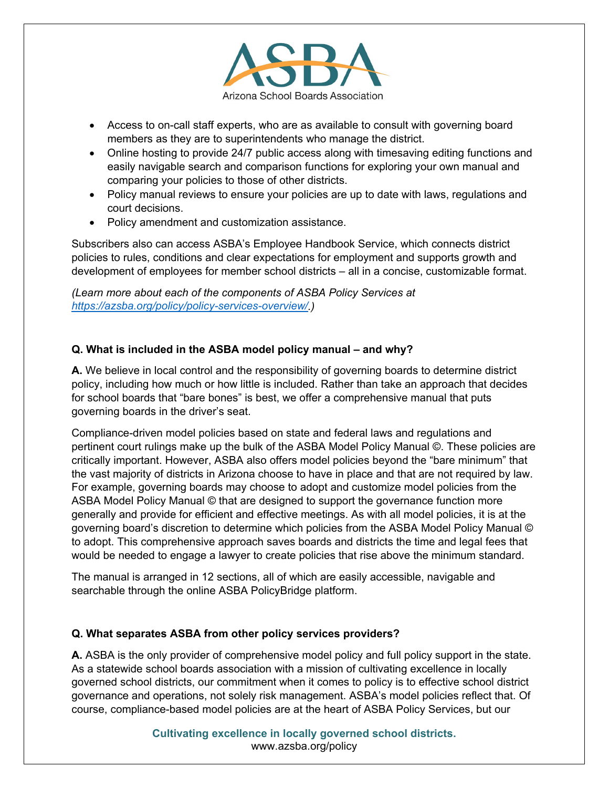

- Access to on-call staff experts, who are as available to consult with governing board members as they are to superintendents who manage the district.
- Online hosting to provide 24/7 public access along with timesaving editing functions and easily navigable search and comparison functions for exploring your own manual and comparing your policies to those of other districts.
- Policy manual reviews to ensure your policies are up to date with laws, regulations and court decisions.
- Policy amendment and customization assistance.

Subscribers also can access ASBA's Employee Handbook Service, which connects district policies to rules, conditions and clear expectations for employment and supports growth and development of employees for member school districts – all in a concise, customizable format.

*(Learn more about each of the components of ASBA Policy Services at [https://azsba.org/policy/policy-services-overview/.](https://azsba.org/policy/policy-services-overview/))*

## **Q. What is included in the ASBA model policy manual – and why?**

**A.** We believe in local control and the responsibility of governing boards to determine district policy, including how much or how little is included. Rather than take an approach that decides for school boards that "bare bones" is best, we offer a comprehensive manual that puts governing boards in the driver's seat.

Compliance-driven model policies based on state and federal laws and regulations and pertinent court rulings make up the bulk of the ASBA Model Policy Manual ©. These policies are critically important. However, ASBA also offers model policies beyond the "bare minimum" that the vast majority of districts in Arizona choose to have in place and that are not required by law. For example, governing boards may choose to adopt and customize model policies from the ASBA Model Policy Manual © that are designed to support the governance function more generally and provide for efficient and effective meetings. As with all model policies, it is at the governing board's discretion to determine which policies from the ASBA Model Policy Manual © to adopt. This comprehensive approach saves boards and districts the time and legal fees that would be needed to engage a lawyer to create policies that rise above the minimum standard.

The manual is arranged in 12 sections, all of which are easily accessible, navigable and searchable through the online ASBA PolicyBridge platform.

#### **Q. What separates ASBA from other policy services providers?**

**A.** ASBA is the only provider of comprehensive model policy and full policy support in the state. As a statewide school boards association with a mission of cultivating excellence in locally governed school districts, our commitment when it comes to policy is to effective school district governance and operations, not solely risk management. ASBA's model policies reflect that. Of course, compliance-based model policies are at the heart of ASBA Policy Services, but our

> **Cultivating excellence in locally governed school districts.** www.azsba.org/policy